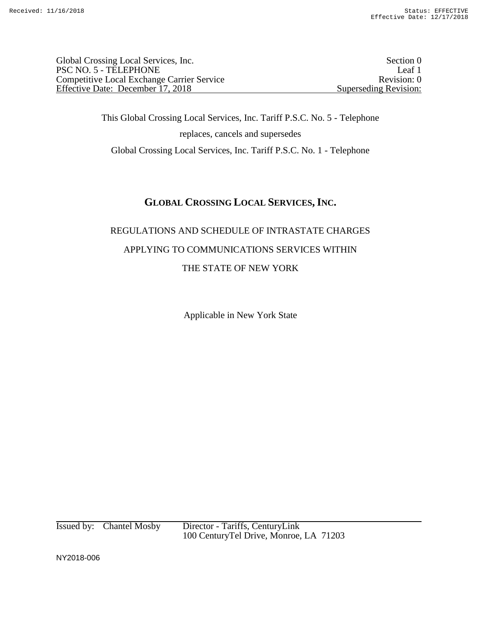Global Crossing Local Services, Inc. Section 0 PSC NO. 5 - TELEPHONE Leaf 1<br>
Competitive Local Exchange Carrier Service Revision: 0 Competitive Local Exchange Carrier Service Effective Date: December 17, 2018 Superseding Revision:

This Global Crossing Local Services, Inc. Tariff P.S.C. No. 5 - Telephone replaces, cancels and supersedes Global Crossing Local Services, Inc. Tariff P.S.C. No. 1 - Telephone

# **GLOBAL CROSSING LOCAL SERVICES,INC.**

# REGULATIONS AND SCHEDULE OF INTRASTATE CHARGES APPLYING TO COMMUNICATIONS SERVICES WITHIN THE STATE OF NEW YORK

Applicable in New York State

Issued by: Chantel Mosby Director - Tariffs, CenturyLink 100 CenturyTel Drive, Monroe, LA 71203

NY2018-006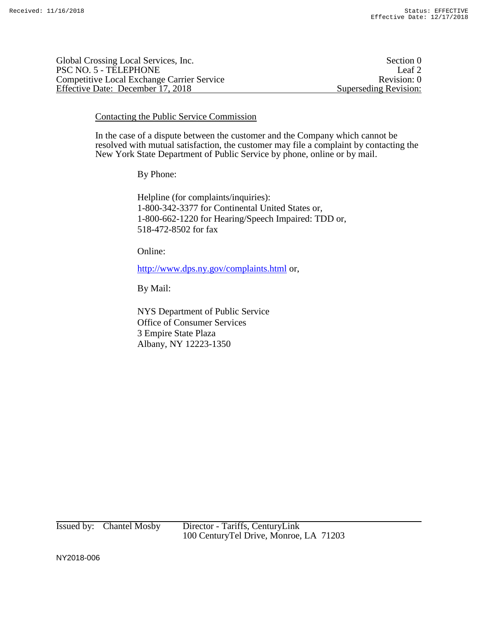| Global Crossing Local Services, Inc.              | Section 0             |
|---------------------------------------------------|-----------------------|
| PSC NO. 5 - TELEPHONE                             | Leaf <sub>2</sub>     |
| <b>Competitive Local Exchange Carrier Service</b> | Revision: 0           |
| Effective Date: December 17, 2018                 | Superseding Revision: |

Contacting the Public Service Commission

In the case of a dispute between the customer and the Company which cannot be resolved with mutual satisfaction, the customer may file a complaint by contacting the New York State Department of Public Service by phone, online or by mail.

By Phone:

Helpline (for complaints/inquiries): 1-800-342-3377 for Continental United States or, 1-800-662-1220 for Hearing/Speech Impaired: TDD or, 518-472-8502 for fax

Online:

http://www.dps.ny.gov/complaints.html or,

By Mail:

NYS Department of Public Service Office of Consumer Services 3 Empire State Plaza Albany, NY 12223-1350

Issued by: Chantel Mosby Director - Tariffs, CenturyLink 100 CenturyTel Drive, Monroe, LA 71203

NY2018-006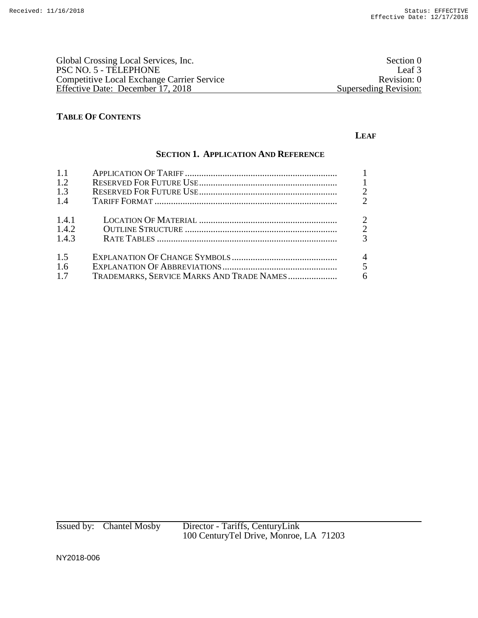| Global Crossing Local Services, Inc.       | Section 0             |
|--------------------------------------------|-----------------------|
| PSC NO. 5 - TELEPHONE                      | Leaf 3                |
| Competitive Local Exchange Carrier Service | Revision: 0           |
| Effective Date: December 17, 2018          | Superseding Revision: |

## **TABLE OF CONTENTS**

#### **LEAF**

## **SECTION 1. APPLICATION AND REFERENCE**

| 1.1                     |                                           |                                                   |
|-------------------------|-------------------------------------------|---------------------------------------------------|
| 1.2                     |                                           | $\overline{1}$                                    |
| 1.3                     |                                           | $\overline{2}$                                    |
| 1.4                     |                                           | $\mathcal{D}_{\mathcal{L}}$                       |
| 1.4.1<br>1.4.2<br>1.4.3 |                                           | $\overline{2}$<br>$\overline{2}$<br>$\mathcal{R}$ |
| 1.5<br>1.6<br>1.7       | TRADEMARKS, SERVICE MARKS AND TRADE NAMES | $\overline{4}$<br>5<br>6                          |

Issued by: Chantel Mosby Director - Tariffs, CenturyLink 100 CenturyTel Drive, Monroe, LA 71203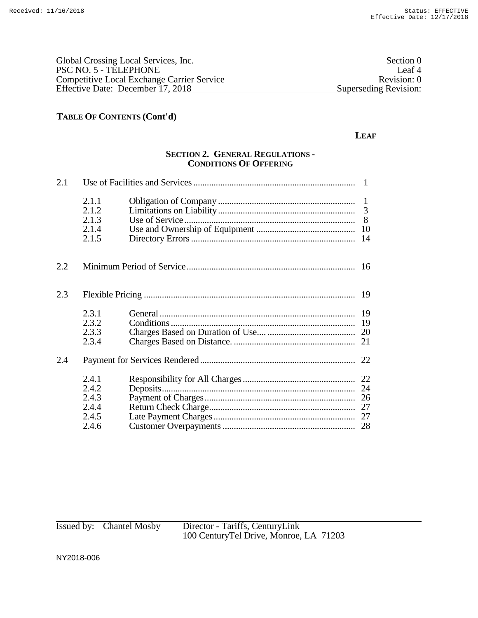| Global Crossing Local Services, Inc.              | Section 0             |
|---------------------------------------------------|-----------------------|
| PSC NO. 5 - TELEPHONE                             | Leaf <sup>4</sup>     |
| <b>Competitive Local Exchange Carrier Service</b> | Revision: 0           |
| Effective Date: December 17, 2018                 | Superseding Revision: |
|                                                   |                       |

#### **LEAF**

### **SECTION 2. GENERAL REGULATIONS - CONDITIONS OF OFFERING**

| 2.1 |                                                    |                |                     |
|-----|----------------------------------------------------|----------------|---------------------|
|     | 2.1.1<br>2.1.2<br>2.1.3<br>2.1.4<br>2.1.5          | Use of Service | $\mathbf{1}$<br>-14 |
| 2.2 |                                                    |                |                     |
| 2.3 |                                                    |                |                     |
|     | 2.3.1<br>2.3.2<br>2.3.3<br>2.3.4                   |                | -19<br>19<br>21     |
| 2.4 |                                                    |                |                     |
|     | 2.4.1<br>2.4.2<br>2.4.3<br>2.4.4<br>2.4.5<br>2.4.6 |                | 24                  |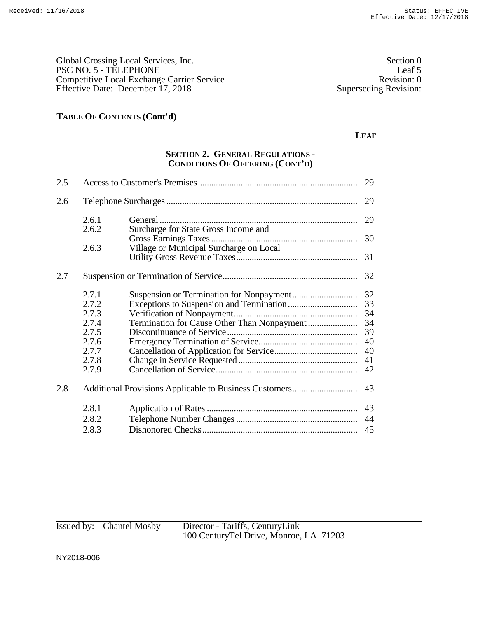| Global Crossing Local Services, Inc.              | Section 0             |
|---------------------------------------------------|-----------------------|
| PSC NO. 5 - TELEPHONE                             | Leaf 5                |
| <b>Competitive Local Exchange Carrier Service</b> | Revision: 0           |
| Effective Date: December 17, 2018                 | Superseding Revision: |
|                                                   |                       |

#### **LEAF**

## **SECTION 2. GENERAL REGULATIONS - CONDITIONS OF OFFERING (CONT'D)**

| 2.5 |                                                                               |                                         | 29                                                 |
|-----|-------------------------------------------------------------------------------|-----------------------------------------|----------------------------------------------------|
| 2.6 |                                                                               |                                         | 29                                                 |
|     | 2.6.1<br>2.6.2                                                                |                                         | 29                                                 |
|     |                                                                               | Surcharge for State Gross Income and    | 30                                                 |
|     | 2.6.3                                                                         | Village or Municipal Surcharge on Local |                                                    |
|     |                                                                               |                                         | 31                                                 |
| 2.7 |                                                                               |                                         | 32                                                 |
|     | 2.7.1<br>2.7.2<br>2.7.3<br>2.7.4<br>2.7.5<br>2.7.6<br>2.7.7<br>2.7.8<br>2.7.9 |                                         | 32<br>33<br>34<br>34<br>39<br>40<br>40<br>41<br>42 |
| 2.8 |                                                                               |                                         | 43                                                 |
|     | 2.8.1                                                                         |                                         | 43                                                 |
|     | 2.8.2                                                                         |                                         | 44                                                 |
|     | 2.8.3                                                                         |                                         | 45                                                 |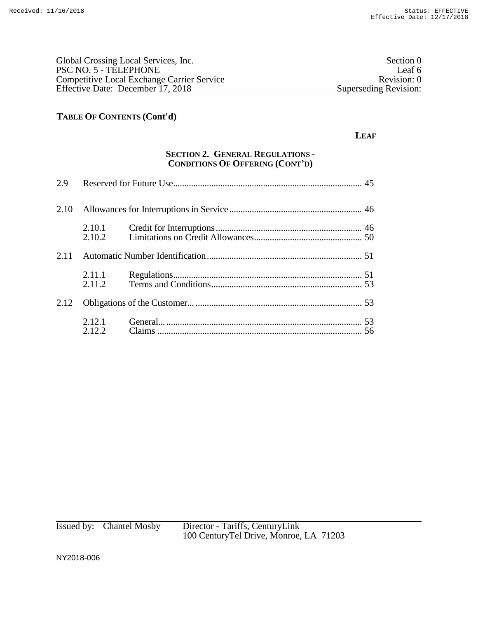| Global Crossing Local Services, Inc.              | Section 0             |
|---------------------------------------------------|-----------------------|
| PSC NO. 5 - TELEPHONE                             | Leaf 6                |
| <b>Competitive Local Exchange Carrier Service</b> | Revision: 0           |
| Effective Date: December 17, 2018                 | Superseding Revision: |

#### **LEAF**

## **SECTION 2. GENERAL REGULATIONS - CONDITIONS OF OFFERING (CONT'D)**

| 2.10 |                  |  |
|------|------------------|--|
|      | 2.10.1<br>2.10.2 |  |
| 2.11 |                  |  |
|      | 2.11.1<br>2.11.2 |  |
| 2.12 |                  |  |
|      | 2.12.1<br>2.12.2 |  |

Issued by: Chantel Mosby Director - Tariffs, CenturyLink 100 CenturyTel Drive, Monroe, LA 71203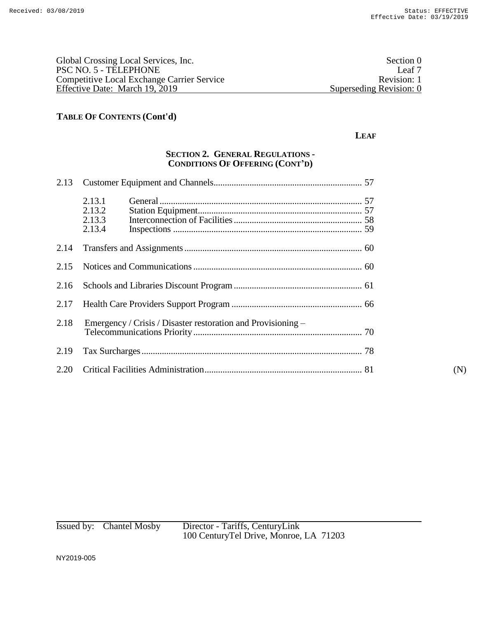| Global Crossing Local Services, Inc.              | Section 0               |
|---------------------------------------------------|-------------------------|
| PSC NO. 5 - TELEPHONE                             | Leaf <sub>7</sub>       |
| <b>Competitive Local Exchange Carrier Service</b> | Revision: 1             |
| Effective Date: March 19, 2019                    | Superseding Revision: 0 |
|                                                   |                         |

#### **LEAF**

## **SECTION 2. GENERAL REGULATIONS - CONDITIONS OF OFFERING (CONT'D)**

| 2.13 |                                                              |     |
|------|--------------------------------------------------------------|-----|
|      | 2.13.1<br>2.13.2<br>2.13.3<br>2.13.4                         |     |
| 2.14 |                                                              |     |
| 2.15 |                                                              |     |
| 2.16 |                                                              |     |
| 2.17 |                                                              |     |
| 2.18 | Emergency / Crisis / Disaster restoration and Provisioning - |     |
| 2.19 |                                                              |     |
|      |                                                              | (N) |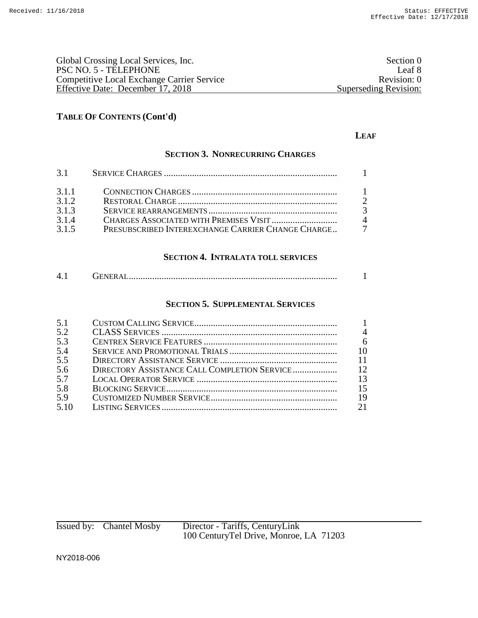| Global Crossing Local Services, Inc.              | Section 0             |
|---------------------------------------------------|-----------------------|
| PSC NO. 5 - TELEPHONE                             | Leaf 8                |
| <b>Competitive Local Exchange Carrier Service</b> | Revision: 0           |
| Effective Date: December 17, 2018                 | Superseding Revision: |

## **LEAF**

## **SECTION 3. NONRECURRING CHARGES**

| 3.1.1 |                                                     |                |
|-------|-----------------------------------------------------|----------------|
| 3.1.2 |                                                     |                |
| 3.1.3 |                                                     | $\overline{3}$ |
| 3.1.4 |                                                     | $\Lambda$      |
| 3.1.5 | PRESUBSCRIBED INTEREXCHANGE CARRIER CHANGE CHARGE 7 |                |

## **SECTION 4. INTRALATA TOLL SERVICES**

| $\Delta$<br>UENERAL……………………………………………………………………………… |  |
|---------------------------------------------------|--|
|---------------------------------------------------|--|

#### **SECTION 5. SUPPLEMENTAL SERVICES**

| 5.1  |                                              |                |
|------|----------------------------------------------|----------------|
| 5.2  |                                              | $\overline{4}$ |
| 5.3  |                                              | 6              |
| 5.4  |                                              | 10             |
| 5.5  |                                              | 11             |
| 5.6  | DIRECTORY ASSISTANCE CALL COMPLETION SERVICE | 12             |
| 5.7  |                                              | 13             |
| 5.8  |                                              | 15             |
| 5.9  |                                              | 19             |
| 5.10 |                                              | 21             |